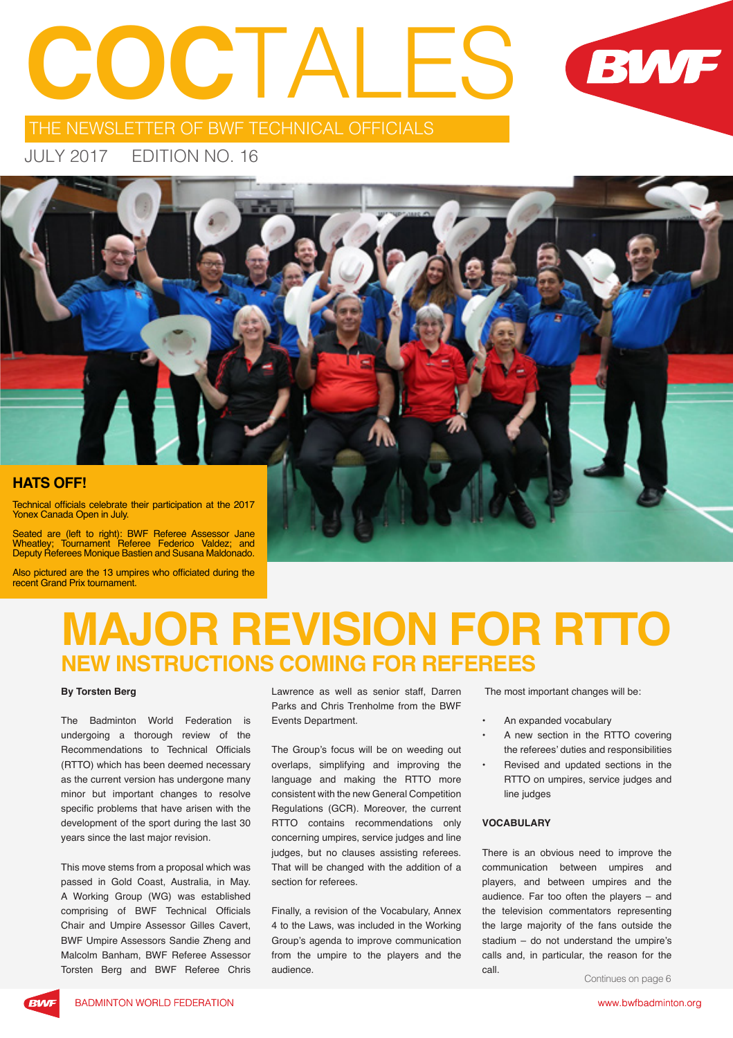# **COC**TALES



THE NEWSLETTER OF BWF TECHNICAL OFFICIALS

JULY 2017 EDITION NO. 16



Also pictured are the 13 umpires who officiated during the recent Grand Prix tournament.

### **MAJOR REVISION FOR RTTO NEW INSTRUCTIONS COMING FOR REFEREES**

#### **By Torsten Berg**

The Badminton World Federation is undergoing a thorough review of the Recommendations to Technical Officials (RTTO) which has been deemed necessary as the current version has undergone many minor but important changes to resolve specific problems that have arisen with the development of the sport during the last 30 years since the last major revision.

This move stems from a proposal which was passed in Gold Coast, Australia, in May. A Working Group (WG) was established comprising of BWF Technical Officials Chair and Umpire Assessor Gilles Cavert, BWF Umpire Assessors Sandie Zheng and Malcolm Banham, BWF Referee Assessor Torsten Berg and BWF Referee Chris

Lawrence as well as senior staff, Darren Parks and Chris Trenholme from the BWF Events Department.

The Group's focus will be on weeding out overlaps, simplifying and improving the language and making the RTTO more consistent with the new General Competition Regulations (GCR). Moreover, the current RTTO contains recommendations only concerning umpires, service judges and line judges, but no clauses assisting referees. That will be changed with the addition of a section for referees.

Finally, a revision of the Vocabulary, Annex 4 to the Laws, was included in the Working Group's agenda to improve communication from the umpire to the players and the audience.

The most important changes will be:

- An expanded vocabulary
- A new section in the RTTO covering the referees' duties and responsibilities
- Revised and updated sections in the RTTO on umpires, service judges and line judges

#### **VOCABULARY**

There is an obvious need to improve the communication between umpires and players, and between umpires and the audience. Far too often the players – and the television commentators representing the large majority of the fans outside the stadium – do not understand the umpire's calls and, in particular, the reason for the call.

Continues on page 6

**BIA/F**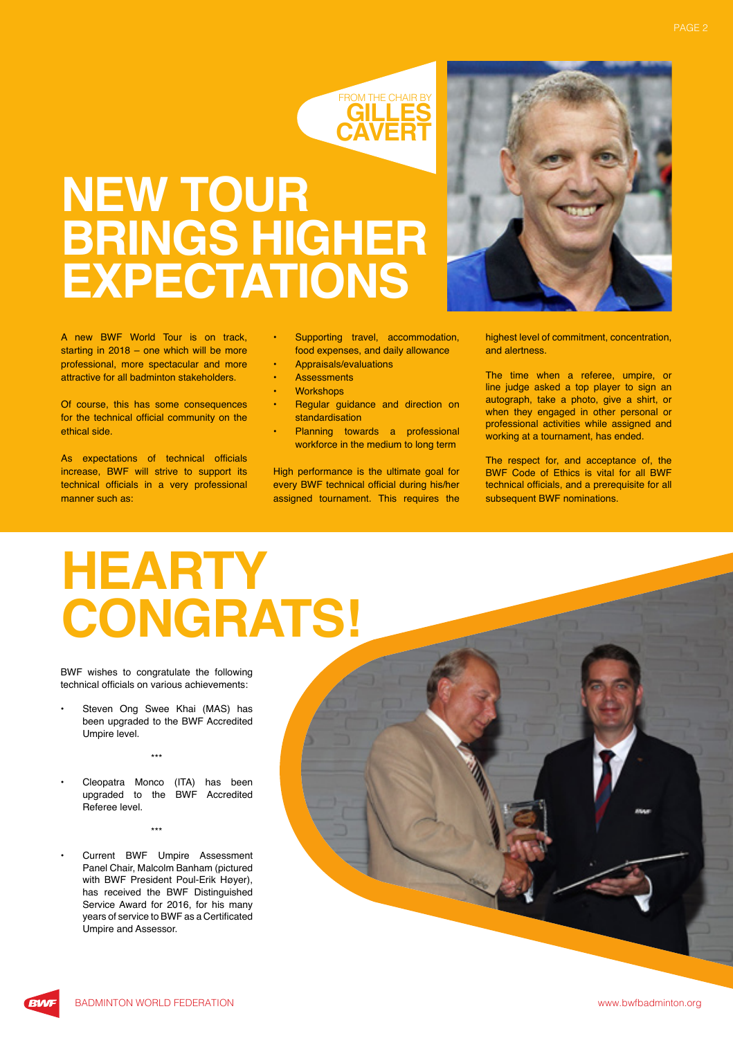

## **NEW TOUR BRINGS HIGHER EXPECTATIONS**

A new BWF World Tour is on track, starting in 2018 – one which will be more professional, more spectacular and more attractive for all badminton stakeholders.

Of course, this has some consequences for the technical official community on the ethical side.

As expectations of technical officials increase, BWF will strive to support its technical officials in a very professional manner such as:

- Supporting travel, accommodation, food expenses, and daily allowance
- Appraisals/evaluations
- **Assessments**
- **Workshops**
- Regular guidance and direction on standardisation
- Planning towards a professional workforce in the medium to long term

High performance is the ultimate goal for every BWF technical official during his/her assigned tournament. This requires the

highest level of commitment, concentration, and alertness.

The time when a referee, umpire, or line judge asked a top player to sign an autograph, take a photo, give a shirt, or when they engaged in other personal or professional activities while assigned and working at a tournament, has ended.

The respect for, and acceptance of, the BWF Code of Ethics is vital for all BWF technical officials, and a prerequisite for all subsequent BWF nominations.

# **HEARTY CONGRATS!**

BWF wishes to congratulate the following technical officials on various achievements:

Steven Ong Swee Khai (MAS) has been upgraded to the BWF Accredited Umpire level.

\*\*\*

- Cleopatra Monco (ITA) has been upgraded to the BWF Accredited Referee level.
	- \*\*\*
- Current BWF Umpire Assessment Panel Chair, Malcolm Banham (pictured with BWF President Poul-Erik Høyer), has received the BWF Distinguished Service Award for 2016, for his many years of service to BWF as a Certificated Umpire and Assessor.

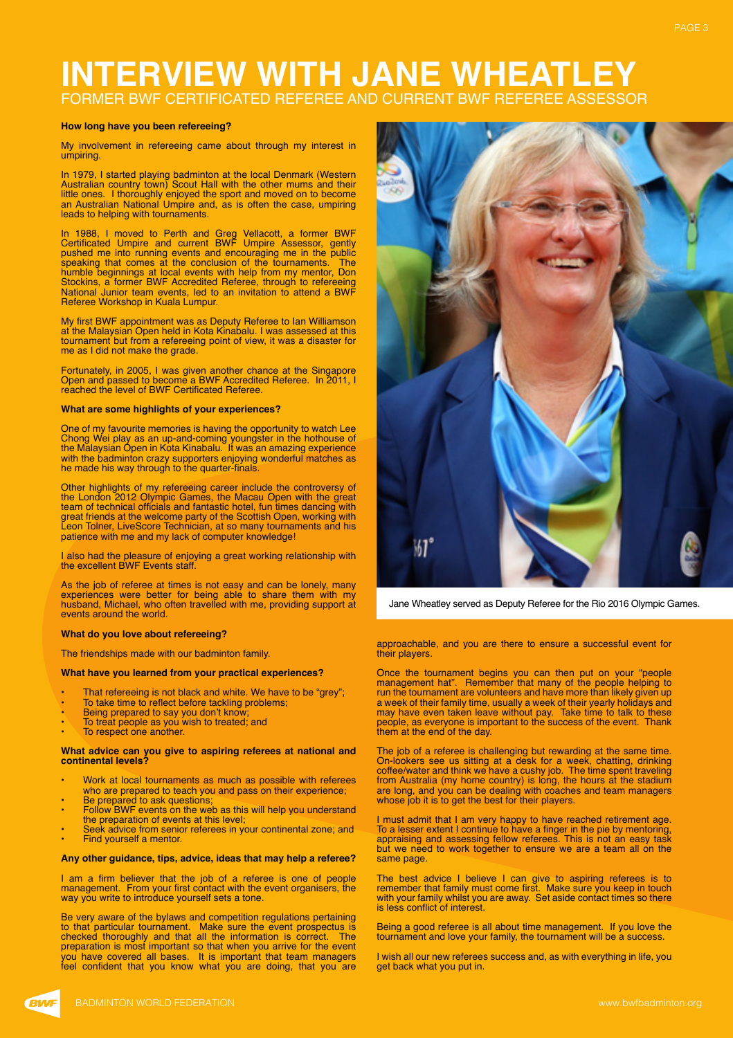### **INTERVIEW WITH JANE WHEATLEY** FORMER BWF CERTIFICATED REFEREE AND CURRENT BWF REFER

#### **How long have you been refereeing?**

My involvement in refereeing came about through my interest in umpiring.

In 1979, I started playing badminton at the local Denmark (Western Australian country town) Scout Hall with the other mums and their little ones. I thoroughly enjoyed the sport and moved on to become an Australian National Umpire and, as is often the case, umpiring leads to helping with tournaments.

In 1988, I moved to Perth and Greg Vellacott, a former BWF Certificated Umpire and current BWF Umpire Assessor, gently pushed me into running events and encouraging me in the public speaking that comes at the conclusion of the tournaments. The humble beginnings at local events with help from my mentor, Don Stockins, a former BWF Accredited Referee, through to refereeing National Junior team events, led to an invitation to attend a BWF Referee Workshop in Kuala Lumpur.

My first BWF appointment was as Deputy Referee to Ian Williamson at the Malaysian Open held in Kota Kinabalu. I was assessed at this tournament but from a refereeing point of view, it was a disaster for me as I did not make the grade.

Fortunately, in 2005, I was given another chance at the Singapore Open and passed to become a BWF Accredited Referee. In 2011, I reached the level of BWF Certificated Referee.

#### **What are some highlights of your experiences?**

One of my favourite memories is having the opportunity to watch Lee Chong Wei play as an up-and-coming youngster in the hothouse of the Malaysian Open in Kota Kinabalu. It was an amazing experience with the badminton crazy supporters enjoying wonderful matches as he made his way through to the quarter-finals.

Other highlights of my refereeing career include the controversy of the London 2012 Olympic Games, the Macau Open with the great team of technical officials and fantastic hotel, fun times dancing with great friends at the welcome party of the Scottish Open, working with Leon Tolner, LiveScore Technician, at so many tournaments and his patience with me and my lack of computer knowledge!

I also had the pleasure of enjoying a great working relationship with the excellent BWF Events staff.

As the job of referee at times is not easy and can be lonely, many experiences were better for being able to share them with my husband, Michael, who often travelled with me, providing support at events around the world.

#### **What do you love about refereeing?**

The friendships made with our badminton family.

#### **What have you learned from your practical experiences?**

- That refereeing is not black and white. We have to be "grey";
- To take time to reflect before tackling problems;
- 
- Being prepared to say you don't know; To treat people as you wish to treated; and
- To respect one another.

#### **What advice can you give to aspiring referees at national and continental levels?**

- Work at local tournaments as much as possible with referees who are prepared to teach you and pass on their experience;
- Be prepared to ask questions; • Follow BWF events on the web as this will help you understand
- the preparation of events at this level; Seek advice from senior referees in your continental zone; and
- Find yourself a mentor.

#### **Any other guidance, tips, advice, ideas that may help a referee?**

I am a firm believer that the job of a referee is one of people management. From your first contact with the event organisers, the way you write to introduce yourself sets a tone.

Be very aware of the bylaws and competition regulations pertaining to that particular tournament. Make sure the event prospectus is checked thoroughly and that all the information is correct. The preparation is most important so that when you arrive for the event you have covered all bases. It is important that team managers feel confident that you know what you are doing, that you are



Jane Wheatley served as Deputy Referee for the Rio 2016 Olympic Games.

#### approachable, and you are there to ensure a successful event for their players.

Once the tournament begins you can then put on your "people management hat". Remember that many of the people helping to run the tournament are volunteers and have more than likely given up a week of their family time, usually a week of their yearly holidays and may have even taken leave without pay. Take time to talk to these people, as everyone is important to the success of the event. Thank them at the end of the day.

The job of a referee is challenging but rewarding at the same time. On-lookers see us sitting at a desk for a week, chatting, drinking coffee/water and think we have a cushy job. The time spent traveling from Australia (my home country) is long, the hours at the stadium are long, and you can be dealing with coaches and team managers whose job it is to get the best for their players.

I must admit that I am very happy to have reached retirement age. To a lesser extent I continue to have a finger in the pie by mentoring, appraising and assessing fellow referees. This is not an easy task but we need to work together to ensure we are a team all on the same page.

The best advice I believe I can give to aspiring referees is to remember that family must come first. Make sure you keep in touch with your family whilst you are away. Set aside contact times so there is less conflict of interest.

Being a good referee is all about time management. If you love the tournament and love your family, the tournament will be a success.

I wish all our new referees success and, as with everything in life, you get back what you put in.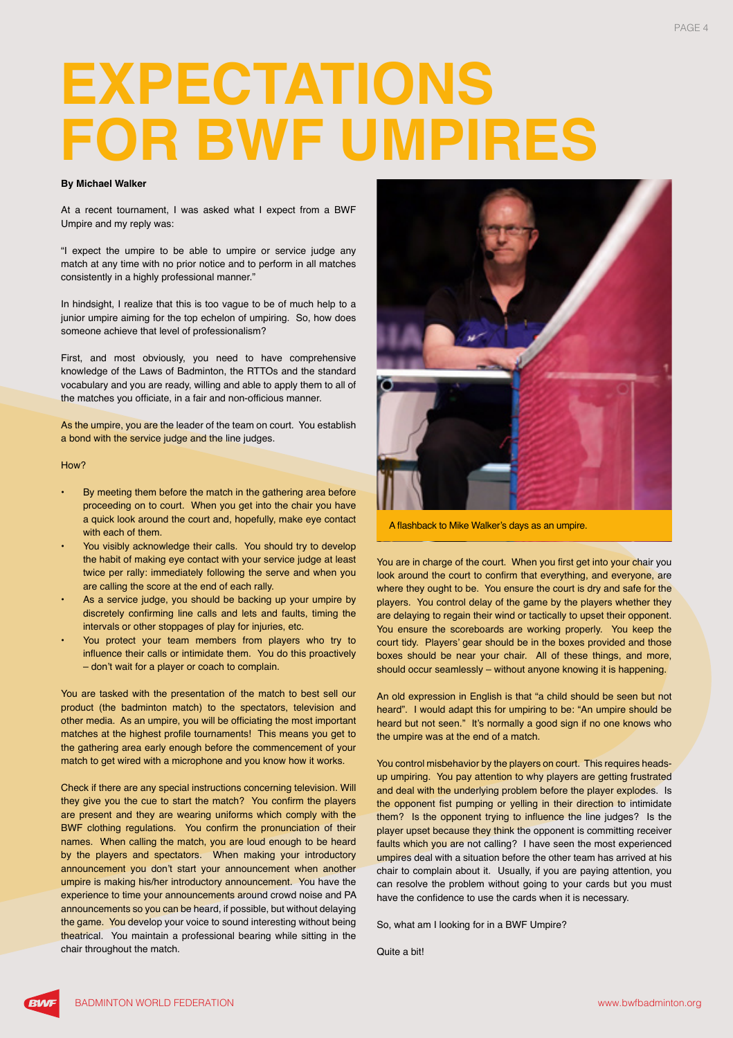# **EXPECTATIONS FOR BWF UMPIRES**

#### **By Michael Walker**

At a recent tournament, I was asked what I expect from a BWF Umpire and my reply was:

"I expect the umpire to be able to umpire or service judge any match at any time with no prior notice and to perform in all matches consistently in a highly professional manner."

In hindsight, I realize that this is too vague to be of much help to a junior umpire aiming for the top echelon of umpiring. So, how does someone achieve that level of professionalism?

First, and most obviously, you need to have comprehensive knowledge of the Laws of Badminton, the RTTOs and the standard vocabulary and you are ready, willing and able to apply them to all of the matches you officiate, in a fair and non-officious manner.

As the umpire, you are the leader of the team on court. You establish a bond with the service judge and the line judges.

#### How?

- By meeting them before the match in the gathering area before proceeding on to court. When you get into the chair you have a quick look around the court and, hopefully, make eye contact with each of them.
- You visibly acknowledge their calls. You should try to develop the habit of making eye contact with your service judge at least twice per rally: immediately following the serve and when you are calling the score at the end of each rally.
- As a service judge, you should be backing up your umpire by discretely confirming line calls and lets and faults, timing the intervals or other stoppages of play for injuries, etc.
- You protect your team members from players who try to influence their calls or intimidate them. You do this proactively – don't wait for a player or coach to complain.

You are tasked with the presentation of the match to best sell our product (the badminton match) to the spectators, television and other media. As an umpire, you will be officiating the most important matches at the highest profile tournaments! This means you get to the gathering area early enough before the commencement of your match to get wired with a microphone and you know how it works.

Check if there are any special instructions concerning television. Will they give you the cue to start the match? You confirm the players are present and they are wearing uniforms which comply with the BWF clothing regulations. You confirm the pronunciation of their names. When calling the match, you are loud enough to be heard by the players and spectators. When making your introductory announcement you don't start your announcement when another umpire is making his/her introductory announcement. You have the experience to time your announcements around crowd noise and PA announcements so you can be heard, if possible, but without delaying the game. You develop your voice to sound interesting without being theatrical. You maintain a professional bearing while sitting in the chair throughout the match.



A flashback to Mike Walker's days as an umpire.

You are in charge of the court. When you first get into your chair you look around the court to confirm that everything, and everyone, are where they ought to be. You ensure the court is dry and safe for the players. You control delay of the game by the players whether they are delaying to regain their wind or tactically to upset their opponent. You ensure the scoreboards are working properly. You keep the court tidy. Players' gear should be in the boxes provided and those boxes should be near your chair. All of these things, and more, should occur seamlessly – without anyone knowing it is happening.

An old expression in English is that "a child should be seen but not heard". I would adapt this for umpiring to be: "An umpire should be heard but not seen." It's normally a good sign if no one knows who the umpire was at the end of a match.

You control misbehavior by the players on court. This requires headsup umpiring. You pay attention to why players are getting frustrated and deal with the underlying problem before the player explodes. Is the opponent fist pumping or yelling in their direction to intimidate them? Is the opponent trying to influence the line judges? Is the player upset because they think the opponent is committing receiver faults which you are not calling? I have seen the most experienced umpires deal with a situation before the other team has arrived at his chair to complain about it. Usually, if you are paying attention, you can resolve the problem without going to your cards but you must have the confidence to use the cards when it is necessary.

So, what am I looking for in a BWF Umpire?

Quite a bit!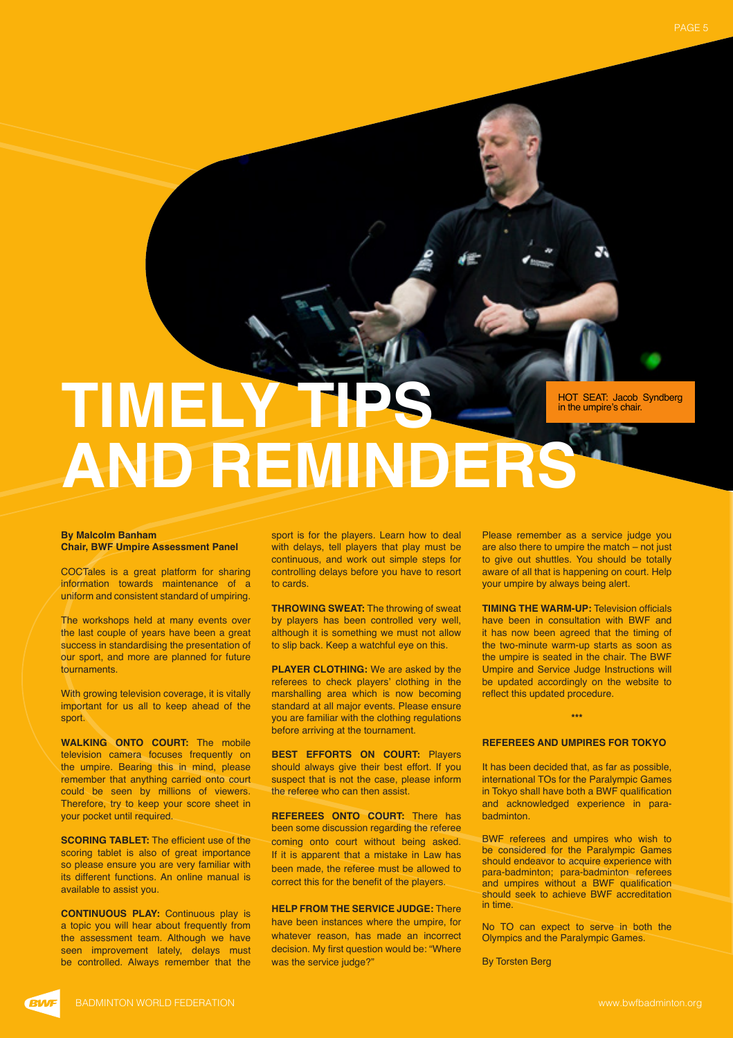TIMEI **AND REMINDERS** HOT SEAT: Jacob Syndberg in the umpire's chair.

#### **By Malcolm Banham Chair, BWF Umpire Assessment Panel**

COCTales is a great platform for sharing information towards maintenance of a uniform and consistent standard of umpiring.

The workshops held at many events over the last couple of years have been a great success in standardising the presentation of our sport, and more are planned for future tournaments.

With growing television coverage, it is vitally important for us all to keep ahead of the sport.

**WALKING ONTO COURT:** The mobile television camera focuses frequently on the umpire. Bearing this in mind, please remember that anything carried onto court could be seen by millions of viewers. Therefore, try to keep your score sheet in your pocket until required.

**SCORING TABLET:** The efficient use of the scoring tablet is also of great importance so please ensure you are very familiar with its different functions. An online manual is available to assist you.

**CONTINUOUS PLAY:** Continuous play is a topic you will hear about frequently from the assessment team. Although we have seen improvement lately, delays must be controlled. Always remember that the

sport is for the players. Learn how to deal with delays, tell players that play must be continuous, and work out simple steps for controlling delays before you have to resort to cards.

**THROWING SWEAT:** The throwing of sweat by players has been controlled very well, although it is something we must not allow to slip back. Keep a watchful eye on this.

**PLAYER CLOTHING:** We are asked by the referees to check players' clothing in the marshalling area which is now becoming standard at all major events. Please ensure you are familiar with the clothing regulations before arriving at the tournament.

**BEST EFFORTS ON COURT:** Players should always give their best effort. If you suspect that is not the case, please inform the referee who can then assist.

**REFEREES ONTO COURT:** There has been some discussion regarding the referee coming onto court without being asked. If it is apparent that a mistake in Law has been made, the referee must be allowed to correct this for the benefit of the players.

**HELP FROM THE SERVICE JUDGE:** There have been instances where the umpire, for whatever reason, has made an incorrect decision. My first question would be: "Where was the service judge?"

Please remember as a service judge you are also there to umpire the match – not just to give out shuttles. You should be totally aware of all that is happening on court. Help your umpire by always being alert.

**TIMING THE WARM-UP:** Television officials have been in consultation with BWF and it has now been agreed that the timing of the two-minute warm-up starts as soon as the umpire is seated in the chair. The BWF Umpire and Service Judge Instructions will be updated accordingly on the website to reflect this updated procedure.

#### **\*\*\***

#### **REFEREES AND UMPIRES FOR TOKYO**

It has been decided that, as far as possible, international TOs for the Paralympic Games in Tokyo shall have both a BWF qualification and acknowledged experience in parabadminton.

BWF referees and umpires who wish to be considered for the Paralympic Games should endeavor to acquire experience with para-badminton; para-badminton referees and umpires without a BWF qualification should seek to achieve BWF accreditation in time.

No TO can expect to serve in both the Olympics and the Paralympic Games.

By Torsten Berg